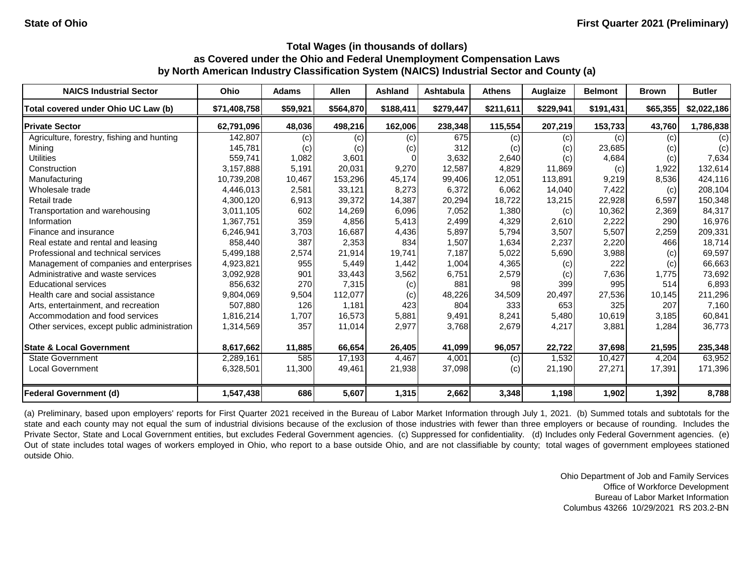| <b>NAICS Industrial Sector</b>               | <b>Ohio</b>  | <b>Adams</b> | <b>Allen</b> | <b>Ashland</b> | <b>Ashtabula</b> | <b>Athens</b> | Auglaize  | <b>Belmont</b> | <b>Brown</b> | <b>Butler</b> |
|----------------------------------------------|--------------|--------------|--------------|----------------|------------------|---------------|-----------|----------------|--------------|---------------|
| Total covered under Ohio UC Law (b)          | \$71,408,758 | \$59,921     | \$564,870    | \$188,411      | \$279,447        | \$211,611     | \$229,941 | \$191,431      | \$65,355     | \$2,022,186   |
| <b>Private Sector</b>                        | 62,791,096   | 48,036       | 498,216      | 162,006        | 238,348          | 115,554       | 207,219   | 153,733        | 43,760       | 1,786,838     |
| Agriculture, forestry, fishing and hunting   | 142,807      | (c)          | (c)          | (c)            | 675              | (c)           | (c)       | (c)            | (c)          | (c)           |
| Mining                                       | 145,781      | (c)          | (c)          | (c)            | 312              | (c)           | (c)       | 23,685         | (c)          | (c)           |
| <b>Utilities</b>                             | 559.741      | 1,082        | 3,601        |                | 3,632            | 2,640         | (c)       | 4,684          | (c)          | 7,634         |
| Construction                                 | 3,157,888    | 5,191        | 20,031       | 9,270          | 12,587           | 4,829         | 11,869    | (c)            | 1,922        | 132,614       |
| Manufacturing                                | 10,739,208   | 10,467       | 153,296      | 45,174         | 99,406           | 12,051        | 113,891   | 9,219          | 8,536        | 424,116       |
| Wholesale trade                              | 4,446,013    | 2,581        | 33,121       | 8,273          | 6,372            | 6,062         | 14,040    | 7,422          | (c)          | 208,104       |
| Retail trade                                 | 4,300,120    | 6,913        | 39,372       | 14,387         | 20,294           | 18,722        | 13,215    | 22,928         | 6,597        | 150,348       |
| Transportation and warehousing               | 3,011,105    | 602          | 14,269       | 6,096          | 7,052            | 1,380         | (c)       | 10,362         | 2,369        | 84,317        |
| Information                                  | 1,367,751    | 359          | 4,856        | 5,413          | 2,499            | 4,329         | 2,610     | 2,222          | 290          | 16,976        |
| Finance and insurance                        | 6,246,941    | 3,703        | 16,687       | 4,436          | 5,897            | 5,794         | 3,507     | 5,507          | 2,259        | 209,331       |
| Real estate and rental and leasing           | 858,440      | 387          | 2,353        | 834            | 1,507            | 1,634         | 2,237     | 2,220          | 466          | 18,714        |
| Professional and technical services          | 5,499,188    | 2,574        | 21,914       | 19,741         | 7,187            | 5,022         | 5,690     | 3,988          | (c)          | 69,597        |
| Management of companies and enterprises      | 4,923,821    | 955          | 5,449        | 1,442          | 1,004            | 4,365         | (c)       | 222            | (c)          | 66,663        |
| Administrative and waste services            | 3,092,928    | 901          | 33,443       | 3,562          | 6,751            | 2,579         | (c)       | 7,636          | 1,775        | 73,692        |
| <b>Educational services</b>                  | 856,632      | 270          | 7,315        | (c)            | 881              | 98            | 399       | 995            | 514          | 6,893         |
| Health care and social assistance            | 9,804,069    | 9,504        | 112,077      | (c)            | 48,226           | 34,509        | 20,497    | 27,536         | 10,145       | 211,296       |
| Arts, entertainment, and recreation          | 507,880      | 126          | 1,181        | 423            | 804              | 333           | 653       | 325            | 207          | 7,160         |
| Accommodation and food services              | 1,816,214    | 1,707        | 16,573       | 5,881          | 9,491            | 8,241         | 5,480     | 10,619         | 3,185        | 60,841        |
| Other services, except public administration | 1,314,569    | 357          | 11,014       | 2,977          | 3,768            | 2,679         | 4,217     | 3,881          | 1,284        | 36,773        |
| <b>State &amp; Local Government</b>          | 8,617,662    | 11,885       | 66,654       | 26,405         | 41,099           | 96,057        | 22,722    | 37,698         | 21,595       | 235,348       |
| <b>State Government</b>                      | 2,289,161    | 585          | 17,193       | 4,467          | 4,001            | (c)           | 1,532     | 10,427         | 4,204        | 63,952        |
| <b>Local Government</b>                      | 6,328,501    | 11,300       | 49,461       | 21,938         | 37,098           | (c)           | 21,190    | 27,271         | 17,391       | 171,396       |
| <b>Federal Government (d)</b>                | 1,547,438    | 686          | 5,607        | 1,315          | 2,662            | 3,348         | 1,198     | 1,902          | 1,392        | 8,788         |

(a) Preliminary, based upon employers' reports for First Quarter 2021 received in the Bureau of Labor Market Information through July 1, 2021. (b) Summed totals and subtotals for the state and each county may not equal the sum of industrial divisions because of the exclusion of those industries with fewer than three employers or because of rounding. Includes the Private Sector, State and Local Government entities, but excludes Federal Government agencies. (c) Suppressed for confidentiality. (d) Includes only Federal Government agencies. (e) Out of state includes total wages of workers employed in Ohio, who report to a base outside Ohio, and are not classifiable by county; total wages of government employees stationed outside Ohio.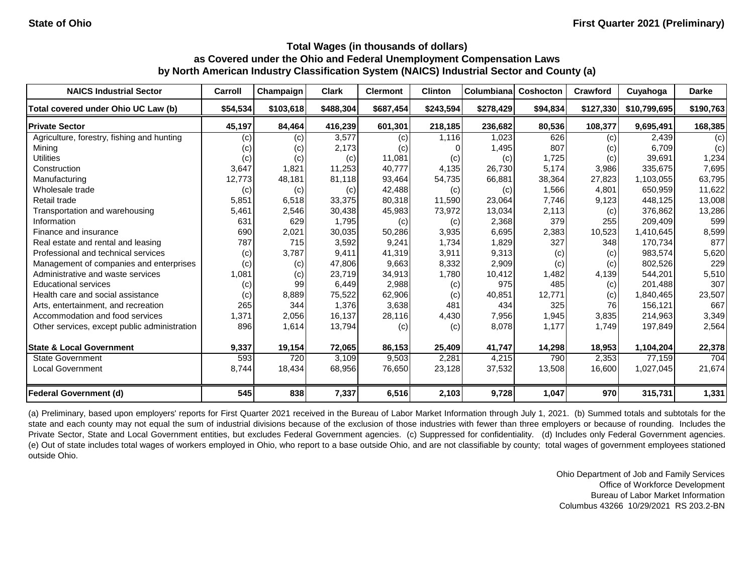| <b>NAICS Industrial Sector</b>               | Carroll  | Champaign | <b>Clark</b> | <b>Clermont</b> | <b>Clinton</b> | Columbiana | Coshocton | Crawford  | Cuyahoga     | <b>Darke</b> |
|----------------------------------------------|----------|-----------|--------------|-----------------|----------------|------------|-----------|-----------|--------------|--------------|
| Total covered under Ohio UC Law (b)          | \$54,534 | \$103,618 | \$488,304    | \$687,454       | \$243,594      | \$278,429  | \$94,834  | \$127,330 | \$10,799,695 | \$190,763    |
| <b>Private Sector</b>                        | 45,197   | 84,464    | 416,239      | 601,301         | 218,185        | 236,682    | 80,536    | 108,377   | 9,695,491    | 168,385      |
| Agriculture, forestry, fishing and hunting   | (c)      | (c)       | 3,577        | (c)             | 1,116          | 1,023      | 626       | (c)       | 2,439        | (c)          |
| Mining                                       | (c)      | (c)       | 2,173        | (c)             |                | 1,495      | 807       | (c)       | 6,709        | (c)          |
| <b>Utilities</b>                             | (c)      | (c)       | (c)          | 11,081          | (c)            | (c)        | 1,725     | (c)       | 39,691       | 1,234        |
| Construction                                 | 3,647    | 1,821     | 11,253       | 40.777          | 4,135          | 26,730     | 5,174     | 3,986     | 335,675      | 7,695        |
| Manufacturing                                | 12,773   | 48,181    | 81,118       | 93,464          | 54,735         | 66,881     | 38,364    | 27,823    | 1,103,055    | 63,795       |
| Wholesale trade                              | (c)      | (c)       | (c)          | 42,488          | (c)            | (c)        | 1,566     | 4.801     | 650,959      | 11,622       |
| Retail trade                                 | 5,851    | 6,518     | 33,375       | 80,318          | 11,590         | 23,064     | 7,746     | 9,123     | 448,125      | 13,008       |
| Transportation and warehousing               | 5,461    | 2,546     | 30,438       | 45,983          | 73,972         | 13,034     | 2,113     | (c)       | 376,862      | 13,286       |
| Information                                  | 631      | 629       | 1,795        | (c)             | (c)            | 2,368      | 379       | 255       | 209,409      | 599          |
| Finance and insurance                        | 690      | 2,021     | 30,035       | 50,286          | 3,935          | 6,695      | 2,383     | 10,523    | 1,410,645    | 8,599        |
| Real estate and rental and leasing           | 787      | 715       | 3,592        | 9,241           | 1,734          | 1,829      | 327       | 348       | 170,734      | 877          |
| Professional and technical services          | (c)      | 3,787     | 9,411        | 41,319          | 3,911          | 9,313      | (c)       | (c)       | 983,574      | 5,620        |
| Management of companies and enterprises      | (c)      | (c)       | 47,806       | 9,663           | 8,332          | 2,909      | (c)       | (c)       | 802,526      | 229          |
| Administrative and waste services            | 1,081    | (c)       | 23,719       | 34,913          | 1,780          | 10,412     | 1,482     | 4,139     | 544,201      | 5,510        |
| <b>Educational services</b>                  | (c)      | 99        | 6,449        | 2,988           | (c)            | 975        | 485       | (c)       | 201,488      | 307          |
| Health care and social assistance            | (c)      | 8,889     | 75,522       | 62,906          | (c)            | 40,851     | 12,771    | (c)       | 1,840,465    | 23,507       |
| Arts, entertainment, and recreation          | 265      | 344       | 1,376        | 3,638           | 481            | 434        | 325       | 76        | 156,121      | 667          |
| Accommodation and food services              | 1,371    | 2,056     | 16,137       | 28,116          | 4,430          | 7,956      | 1,945     | 3,835     | 214,963      | 3,349        |
| Other services, except public administration | 896      | 1,614     | 13,794       | (c)             | (c)            | 8,078      | 1,177     | 1,749     | 197,849      | 2,564        |
| <b>State &amp; Local Government</b>          | 9,337    | 19,154    | 72,065       | 86,153          | 25,409         | 41,747     | 14,298    | 18,953    | 1,104,204    | 22,378       |
| <b>State Government</b>                      | 593      | 720       | 3,109        | 9,503           | 2,281          | 4,215      | 790       | 2,353     | 77,159       | 704          |
| <b>Local Government</b>                      | 8,744    | 18,434    | 68,956       | 76,650          | 23,128         | 37,532     | 13,508    | 16,600    | 1,027,045    | 21,674       |
| <b>Federal Government (d)</b>                | 545      | 838       | 7,337        | 6,516           | 2,103          | 9,728      | 1,047     | 970       | 315,731      | 1,331        |

(a) Preliminary, based upon employers' reports for First Quarter 2021 received in the Bureau of Labor Market Information through July 1, 2021. (b) Summed totals and subtotals for the state and each county may not equal the sum of industrial divisions because of the exclusion of those industries with fewer than three employers or because of rounding. Includes the Private Sector, State and Local Government entities, but excludes Federal Government agencies. (c) Suppressed for confidentiality. (d) Includes only Federal Government agencies. (e) Out of state includes total wages of workers employed in Ohio, who report to a base outside Ohio, and are not classifiable by county; total wages of government employees stationed outside Ohio.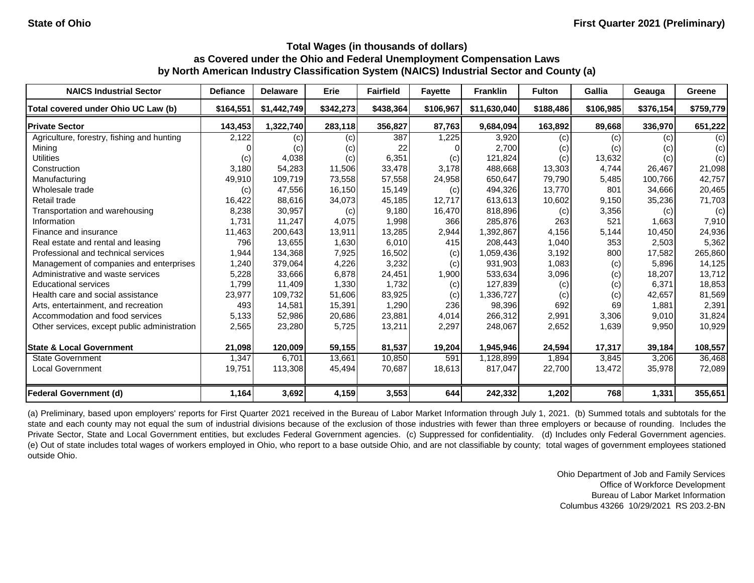| <b>NAICS Industrial Sector</b>               | <b>Defiance</b> | <b>Delaware</b>   | Erie      | <b>Fairfield</b> | <b>Fayette</b> | <b>Franklin</b> | <b>Fulton</b> | Gallia    | Geauga    | Greene    |
|----------------------------------------------|-----------------|-------------------|-----------|------------------|----------------|-----------------|---------------|-----------|-----------|-----------|
| Total covered under Ohio UC Law (b)          | \$164,551       | \$1,442,749       | \$342,273 | \$438,364        | \$106,967      | \$11,630,040    | \$188,486     | \$106.985 | \$376,154 | \$759,779 |
| <b>Private Sector</b>                        | 143,453         | 1,322,740         | 283,118   | 356,827          | 87,763         | 9,684,094       | 163,892       | 89,668    | 336,970   | 651,222   |
| Agriculture, forestry, fishing and hunting   | 2,122           | $\left( c\right)$ | (c)       | 387              | 1,225          | 3,920           | (c)           | (c)       | (c)       | (c)       |
| Mining                                       |                 | (c)               | (c)       | 22               |                | 2,700           | (c)           | (c)       | (c)       | (c)       |
| <b>Utilities</b>                             | (c)             | 4,038             | (c)       | 6,351            | (c)            | 121,824         | (c)           | 13,632    | (c)       | (c)       |
| Construction                                 | 3,180           | 54,283            | 11,506    | 33,478           | 3,178          | 488,668         | 13,303        | 4,744     | 26,467    | 21,098    |
| Manufacturing                                | 49,910          | 109,719           | 73,558    | 57,558           | 24,958         | 650,647         | 79,790        | 5,485     | 100,766   | 42,757    |
| Wholesale trade                              | (c)             | 47,556            | 16,150    | 15,149           | (c)            | 494,326         | 13,770        | 801       | 34,666    | 20,465    |
| Retail trade                                 | 16,422          | 88,616            | 34,073    | 45,185           | 12,717         | 613,613         | 10,602        | 9,150     | 35,236    | 71,703    |
| Transportation and warehousing               | 8,238           | 30,957            | (c)       | 9,180            | 16,470         | 818,896         | (c)           | 3,356     | (c)       | (c)       |
| Information                                  | 1,731           | 11,247            | 4,075     | 1,998            | 366            | 285,876         | 263           | 521       | 1,663     | 7,910     |
| Finance and insurance                        | 11,463          | 200,643           | 13,911    | 13,285           | 2,944          | 1,392,867       | 4,156         | 5,144     | 10,450    | 24,936    |
| Real estate and rental and leasing           | 796             | 13,655            | 1,630     | 6,010            | 415            | 208,443         | 1,040         | 353       | 2,503     | 5,362     |
| Professional and technical services          | 1,944           | 134,368           | 7,925     | 16,502           | (c)            | 1,059,436       | 3,192         | 800       | 17,582    | 265,860   |
| Management of companies and enterprises      | 1,240           | 379,064           | 4,226     | 3,232            | (c)            | 931,903         | 1,083         | (c)       | 5,896     | 14,125    |
| Administrative and waste services            | 5,228           | 33,666            | 6,878     | 24,451           | 1,900          | 533,634         | 3,096         | (c)       | 18,207    | 13,712    |
| <b>Educational services</b>                  | 1,799           | 11,409            | 1,330     | 1,732            | (c)            | 127,839         | (c)           | (c)       | 6.371     | 18,853    |
| Health care and social assistance            | 23,977          | 109,732           | 51,606    | 83,925           | (c)            | 1,336,727       | (c)           | (c)       | 42,657    | 81,569    |
| Arts, entertainment, and recreation          | 493             | 14,581            | 15,391    | 1,290            | 236            | 98,396          | 692           | 69        | 1.881     | 2,391     |
| Accommodation and food services              | 5,133           | 52,986            | 20,686    | 23,881           | 4,014          | 266,312         | 2,991         | 3,306     | 9,010     | 31,824    |
| Other services, except public administration | 2,565           | 23,280            | 5,725     | 13,211           | 2,297          | 248,067         | 2,652         | 1,639     | 9,950     | 10,929    |
| <b>State &amp; Local Government</b>          | 21,098          | 120,009           | 59,155    | 81,537           | 19,204         | 1,945,946       | 24,594        | 17,317    | 39,184    | 108,557   |
| <b>State Government</b>                      | 1,347           | 6,701             | 13.661    | 10,850           | 591            | 1,128,899       | 1,894         | 3,845     | 3,206     | 36,468    |
| <b>Local Government</b>                      | 19,751          | 113,308           | 45,494    | 70,687           | 18,613         | 817,047         | 22,700        | 13,472    | 35,978    | 72,089    |
| Federal Government (d)                       | 1,164           | 3,692             | 4,159     | 3,553            | 644            | 242,332         | 1,202         | 768       | 1,331     | 355,651   |

(a) Preliminary, based upon employers' reports for First Quarter 2021 received in the Bureau of Labor Market Information through July 1, 2021. (b) Summed totals and subtotals for the state and each county may not equal the sum of industrial divisions because of the exclusion of those industries with fewer than three employers or because of rounding. Includes the Private Sector, State and Local Government entities, but excludes Federal Government agencies. (c) Suppressed for confidentiality. (d) Includes only Federal Government agencies. (e) Out of state includes total wages of workers employed in Ohio, who report to a base outside Ohio, and are not classifiable by county; total wages of government employees stationed outside Ohio.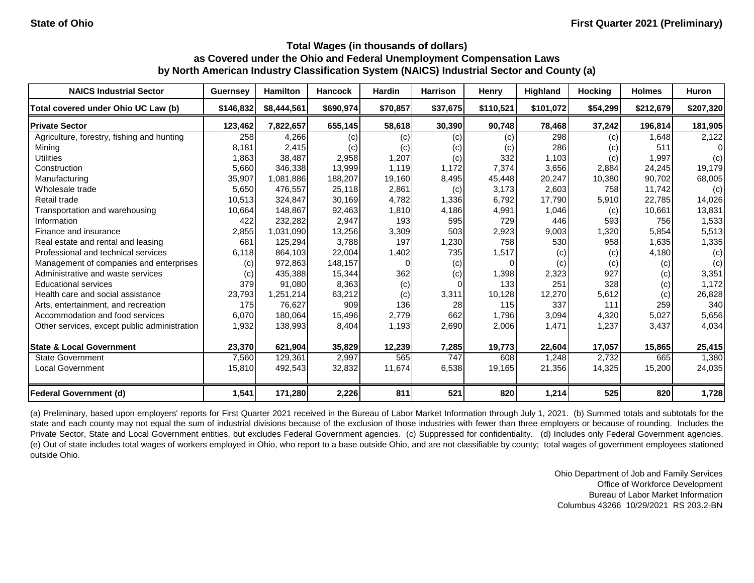| <b>NAICS Industrial Sector</b>               | <b>Guernsey</b> | <b>Hamilton</b> | <b>Hancock</b> | <b>Hardin</b> | <b>Harrison</b> | <b>Henry</b>               | Highland  | <b>Hocking</b> | <b>Holmes</b> | <b>Huron</b> |
|----------------------------------------------|-----------------|-----------------|----------------|---------------|-----------------|----------------------------|-----------|----------------|---------------|--------------|
| Total covered under Ohio UC Law (b)          | \$146,832       | \$8,444,561     | \$690,974      | \$70,857      | \$37,675        | \$110,521                  | \$101,072 | \$54,299       | \$212,679     | \$207,320    |
| <b>Private Sector</b>                        | 123,462         | 7,822,657       | 655,145        | 58,618        | 30,390          | 90,748                     | 78,468    | 37,242         | 196,814       | 181,905      |
| Agriculture, forestry, fishing and hunting   | 258             | 4,266           | (c)            | (c)           | (c)             | $\left( $                  | 298       | (c)            | 1,648         | 2,122        |
| Mining                                       | 8,181           | 2,415           | (c)            | (c)           | (c)             | $\left( \mathrm{c}\right)$ | 286       | (c)            | 511           | $\Omega$     |
| <b>Utilities</b>                             | 1,863           | 38,487          | 2,958          | 1,207         | (c)             | 332                        | 1,103     | (c)            | 1,997         | (c)          |
| Construction                                 | 5,660           | 346,338         | 13,999         | 1,119         | 1,172           | 7,374                      | 3,656     | 2,884          | 24,245        | 19,179       |
| Manufacturing                                | 35,907          | 1,081,886       | 188,207        | 19,160        | 8,495           | 45,448                     | 20,247    | 10,380         | 90,702        | 68,005       |
| Wholesale trade                              | 5,650           | 476,557         | 25,118         | 2,861         | (c)             | 3,173                      | 2,603     | 758            | 11,742        | (c)          |
| Retail trade                                 | 10,513          | 324,847         | 30,169         | 4,782         | 1,336           | 6,792                      | 17,790    | 5,910          | 22,785        | 14,026       |
| Transportation and warehousing               | 10,664          | 148,867         | 92,463         | 1,810         | 4,186           | 4,991                      | 1,046     | (c)            | 10,661        | 13,831       |
| Information                                  | 422             | 232,282         | 2,947          | 193           | 595             | 729                        | 446       | 593            | 756           | 1,533        |
| Finance and insurance                        | 2,855           | 1,031,090       | 13,256         | 3,309         | 503             | 2,923                      | 9,003     | 1,320          | 5,854         | 5,513        |
| Real estate and rental and leasing           | 681             | 125,294         | 3,788          | 197           | 1,230           | 758                        | 530       | 958            | 1,635         | 1,335        |
| Professional and technical services          | 6,118           | 864,103         | 22,004         | 1,402         | 735             | 1,517                      | (c)       | (c)            | 4,180         | (c)          |
| Management of companies and enterprises      | (c)             | 972,863         | 148,157        |               | (c)             |                            | (c)       | (c)            | (c)           | (c)          |
| Administrative and waste services            | (c)             | 435,388         | 15,344         | 362           | (c)             | 1,398                      | 2,323     | 927            | (c)           | 3,351        |
| <b>Educational services</b>                  | 379             | 91,080          | 8,363          | (c)           |                 | 133                        | 251       | 328            | (c)           | 1,172        |
| Health care and social assistance            | 23,793          | 1,251,214       | 63,212         | (c)           | 3,311           | 10,128                     | 12,270    | 5,612          | (c)           | 26,828       |
| Arts, entertainment, and recreation          | 175             | 76,627          | 909            | 136           | 28              | 115                        | 337       | 111            | 259           | 340          |
| Accommodation and food services              | 6,070           | 180,064         | 15,496         | 2,779         | 662             | 1,796                      | 3,094     | 4,320          | 5,027         | 5,656        |
| Other services, except public administration | 1,932           | 138,993         | 8,404          | 1,193         | 2,690           | 2,006                      | 1,471     | 1,237          | 3,437         | 4,034        |
| <b>State &amp; Local Government</b>          | 23,370          | 621,904         | 35,829         | 12,239        | 7,285           | 19,773                     | 22,604    | 17,057         | 15,865        | 25,415       |
| <b>State Government</b>                      | 7,560           | 129,361         | 2,997          | 565           | 747             | 608                        | 1,248     | 2,732          | 665           | 1,380        |
| <b>Local Government</b>                      | 15,810          | 492,543         | 32,832         | 11,674        | 6,538           | 19,165                     | 21,356    | 14,325         | 15,200        | 24,035       |
| <b>Federal Government (d)</b>                | 1,541           | 171,280         | 2,226          | 811           | 521             | 820                        | 1,214     | 525            | 820           | 1,728        |

(a) Preliminary, based upon employers' reports for First Quarter 2021 received in the Bureau of Labor Market Information through July 1, 2021. (b) Summed totals and subtotals for the state and each county may not equal the sum of industrial divisions because of the exclusion of those industries with fewer than three employers or because of rounding. Includes the Private Sector, State and Local Government entities, but excludes Federal Government agencies. (c) Suppressed for confidentiality. (d) Includes only Federal Government agencies. (e) Out of state includes total wages of workers employed in Ohio, who report to a base outside Ohio, and are not classifiable by county; total wages of government employees stationed outside Ohio.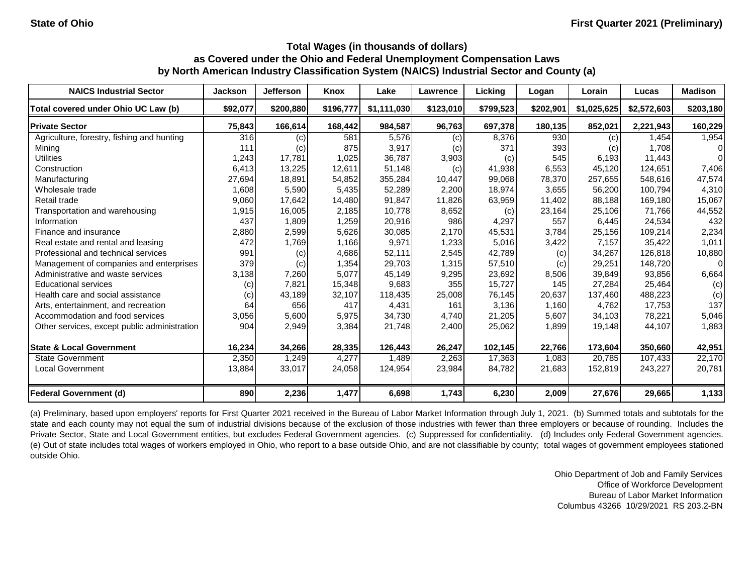| <b>NAICS Industrial Sector</b>               | <b>Jackson</b> | <b>Jefferson</b> | Knox      | Lake        | Lawrence  | Licking   | Logan     | Lorain      | Lucas       | <b>Madison</b> |
|----------------------------------------------|----------------|------------------|-----------|-------------|-----------|-----------|-----------|-------------|-------------|----------------|
| Total covered under Ohio UC Law (b)          | \$92,077       | \$200,880        | \$196,777 | \$1,111,030 | \$123,010 | \$799,523 | \$202,901 | \$1,025,625 | \$2,572,603 | \$203,180      |
| <b>Private Sector</b>                        | 75,843         | 166,614          | 168,442   | 984,587     | 96,763    | 697,378   | 180,135   | 852,021     | 2,221,943   | 160,229        |
| Agriculture, forestry, fishing and hunting   | 316            | (c)              | 581       | 5,576       | (c)       | 8,376     | 930       | (c)         | 1.454       | 1,954          |
| Mining                                       | 111            | (c)              | 875       | 3,917       | (c)       | 371       | 393       | (c)         | 1,708       | $\Omega$       |
| <b>Utilities</b>                             | 1,243          | 17,781           | 1,025     | 36.787      | 3,903     | (c)       | 545       | 6,193       | 11.443      | $\Omega$       |
| Construction                                 | 6,413          | 13,225           | 12,611    | 51,148      | (c)       | 41,938    | 6,553     | 45,120      | 124,651     | 7,406          |
| Manufacturing                                | 27,694         | 18,891           | 54,852    | 355,284     | 10,447    | 99,068    | 78,370    | 257,655     | 548,616     | 47,574         |
| Wholesale trade                              | 1,608          | 5,590            | 5,435     | 52,289      | 2,200     | 18,974    | 3,655     | 56,200      | 100,794     | 4,310          |
| Retail trade                                 | 9,060          | 17,642           | 14,480    | 91,847      | 11,826    | 63,959    | 11,402    | 88,188      | 169,180     | 15,067         |
| Transportation and warehousing               | 1,915          | 16,005           | 2,185     | 10,778      | 8,652     | (c)       | 23,164    | 25,106      | 71,766      | 44,552         |
| Information                                  | 437            | 1,809            | 1,259     | 20,916      | 986       | 4,297     | 557       | 6,445       | 24,534      | 432            |
| Finance and insurance                        | 2,880          | 2,599            | 5,626     | 30,085      | 2.170     | 45,531    | 3,784     | 25,156      | 109,214     | 2,234          |
| Real estate and rental and leasing           | 472            | 1,769            | 1,166     | 9,971       | 1,233     | 5,016     | 3,422     | 7,157       | 35,422      | 1,011          |
| Professional and technical services          | 991            | (c)              | 4,686     | 52.111      | 2,545     | 42,789    | (c)       | 34,267      | 126.818     | 10,880         |
| Management of companies and enterprises      | 379            | (c)              | 1,354     | 29,703      | 1,315     | 57,510    | (c)       | 29,251      | 148,720     | $\Omega$       |
| Administrative and waste services            | 3,138          | 7,260            | 5,077     | 45,149      | 9,295     | 23,692    | 8,506     | 39,849      | 93,856      | 6,664          |
| <b>Educational services</b>                  | (c)            | 7,821            | 15,348    | 9,683       | 355       | 15,727    | 145       | 27,284      | 25,464      | (c)            |
| Health care and social assistance            | (c)            | 43,189           | 32,107    | 118,435     | 25,008    | 76,145    | 20,637    | 137,460     | 488,223     | (c)            |
| Arts, entertainment, and recreation          | 64             | 656              | 417       | 4,431       | 161       | 3,136     | 1,160     | 4,762       | 17,753      | 137            |
| Accommodation and food services              | 3,056          | 5,600            | 5,975     | 34,730      | 4,740     | 21,205    | 5,607     | 34,103      | 78,221      | 5,046          |
| Other services, except public administration | 904            | 2,949            | 3,384     | 21,748      | 2,400     | 25,062    | 1,899     | 19,148      | 44,107      | 1,883          |
| <b>State &amp; Local Government</b>          | 16,234         | 34,266           | 28,335    | 126,443     | 26,247    | 102,145   | 22,766    | 173,604     | 350,660     | 42,951         |
| <b>State Government</b>                      | 2,350          | 1,249            | 4,277     | 1,489       | 2,263     | 17,363    | 1,083     | 20.785      | 107.433     | 22,170         |
| <b>Local Government</b>                      | 13,884         | 33,017           | 24,058    | 124,954     | 23,984    | 84,782    | 21,683    | 152,819     | 243,227     | 20,781         |
| <b>Federal Government (d)</b>                | 890            | 2,236            | 1,477     | 6,698       | 1,743     | 6,230     | 2,009     | 27,676      | 29,665      | 1,133          |

(a) Preliminary, based upon employers' reports for First Quarter 2021 received in the Bureau of Labor Market Information through July 1, 2021. (b) Summed totals and subtotals for the state and each county may not equal the sum of industrial divisions because of the exclusion of those industries with fewer than three employers or because of rounding. Includes the Private Sector, State and Local Government entities, but excludes Federal Government agencies. (c) Suppressed for confidentiality. (d) Includes only Federal Government agencies. (e) Out of state includes total wages of workers employed in Ohio, who report to a base outside Ohio, and are not classifiable by county; total wages of government employees stationed outside Ohio.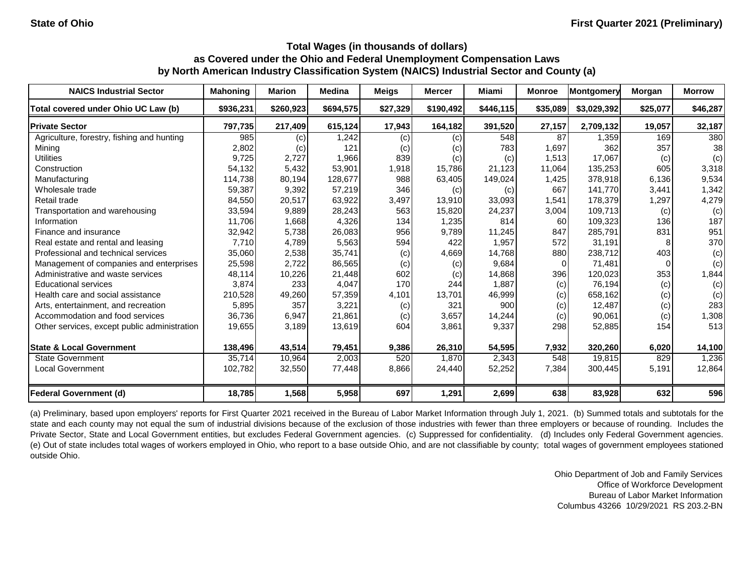| <b>NAICS Industrial Sector</b>               | <b>Mahoning</b> | <b>Marion</b> | <b>Medina</b> | <b>Meigs</b> | <b>Mercer</b> | Miami     | <b>Monroe</b> | Montgomery  | Morgan   | <b>Morrow</b> |
|----------------------------------------------|-----------------|---------------|---------------|--------------|---------------|-----------|---------------|-------------|----------|---------------|
| Total covered under Ohio UC Law (b)          | \$936,231       | \$260,923     | \$694,575     | \$27,329     | \$190,492     | \$446,115 | \$35,089      | \$3,029,392 | \$25,077 | \$46,287      |
| <b>Private Sector</b>                        | 797,735         | 217,409       | 615,124       | 17,943       | 164,182       | 391,520   | 27,157        | 2,709,132   | 19,057   | 32,187        |
| Agriculture, forestry, fishing and hunting   | 985             | (c)           | 1,242         | (c)          | (c)           | 548       | 87            | 1,359       | 169      | 380           |
| Mining                                       | 2,802           | (c)           | 121           | (c)          | (c)           | 783       | 1,697         | 362         | 357      | 38            |
| <b>Utilities</b>                             | 9,725           | 2,727         | 1,966         | 839          | (c)           | (c)       | 1,513         | 17,067      | (c)      | (c)           |
| Construction                                 | 54,132          | 5,432         | 53,901        | 1,918        | 15,786        | 21,123    | 11,064        | 135,253     | 605      | 3,318         |
| Manufacturing                                | 114,738         | 80,194        | 128,677       | 988          | 63,405        | 149,024   | 1,425         | 378,918     | 6.136    | 9,534         |
| Wholesale trade                              | 59,387          | 9,392         | 57,219        | 346          | (c)           | (c)       | 667           | 141,770     | 3,441    | 1,342         |
| Retail trade                                 | 84,550          | 20,517        | 63,922        | 3,497        | 13,910        | 33,093    | 1,541         | 178,379     | 1,297    | 4,279         |
| Transportation and warehousing               | 33,594          | 9,889         | 28,243        | 563          | 15,820        | 24,237    | 3,004         | 109,713     | (c)      | (c)           |
| Information                                  | 11,706          | 1,668         | 4,326         | 134          | 1,235         | 814       | 60            | 109,323     | 136      | 187           |
| Finance and insurance                        | 32,942          | 5,738         | 26,083        | 956          | 9,789         | 11,245    | 847           | 285,791     | 831      | 951           |
| Real estate and rental and leasing           | 7,710           | 4,789         | 5,563         | 594          | 422           | 1,957     | 572           | 31,191      |          | 370           |
| Professional and technical services          | 35,060          | 2,538         | 35,741        | (c)          | 4,669         | 14,768    | 880           | 238,712     | 403      | (c)           |
| Management of companies and enterprises      | 25,598          | 2,722         | 86,565        | (c)          | (c)           | 9,684     | $\Omega$      | 71,481      |          | (c)           |
| Administrative and waste services            | 48,114          | 10,226        | 21,448        | 602          | (c)           | 14,868    | 396           | 120,023     | 353      | 1,844         |
| <b>Educational services</b>                  | 3,874           | 233           | 4,047         | 170          | 244           | 1,887     | (c)           | 76,194      | (c)      | (c)           |
| Health care and social assistance            | 210,528         | 49,260        | 57,359        | 4,101        | 13,701        | 46,999    | (c)           | 658,162     | (c)      | (c)           |
| Arts, entertainment, and recreation          | 5,895           | 357           | 3,221         | (c)          | 321           | 900       | (c)           | 12,487      | (c)      | 283           |
| Accommodation and food services              | 36,736          | 6,947         | 21,861        | (c)          | 3,657         | 14,244    | (c)           | 90,061      | (c)      | 1,308         |
| Other services, except public administration | 19,655          | 3,189         | 13,619        | 604          | 3,861         | 9,337     | 298           | 52,885      | 154      | 513           |
| <b>State &amp; Local Government</b>          | 138,496         | 43,514        | 79,451        | 9,386        | 26,310        | 54,595    | 7,932         | 320,260     | 6,020    | 14,100        |
| State Government                             | 35,714          | 10,964        | 2,003         | 520          | 1,870         | 2,343     | 548           | 19,815      | 829      | 1,236         |
| <b>Local Government</b>                      | 102,782         | 32,550        | 77,448        | 8,866        | 24,440        | 52,252    | 7,384         | 300,445     | 5,191    | 12,864        |
| <b>Federal Government (d)</b>                | 18,785          | 1,568         | 5,958         | 697          | 1,291         | 2,699     | 638           | 83,928      | 632      | 596           |

(a) Preliminary, based upon employers' reports for First Quarter 2021 received in the Bureau of Labor Market Information through July 1, 2021. (b) Summed totals and subtotals for the state and each county may not equal the sum of industrial divisions because of the exclusion of those industries with fewer than three employers or because of rounding. Includes the Private Sector, State and Local Government entities, but excludes Federal Government agencies. (c) Suppressed for confidentiality. (d) Includes only Federal Government agencies. (e) Out of state includes total wages of workers employed in Ohio, who report to a base outside Ohio, and are not classifiable by county; total wages of government employees stationed outside Ohio.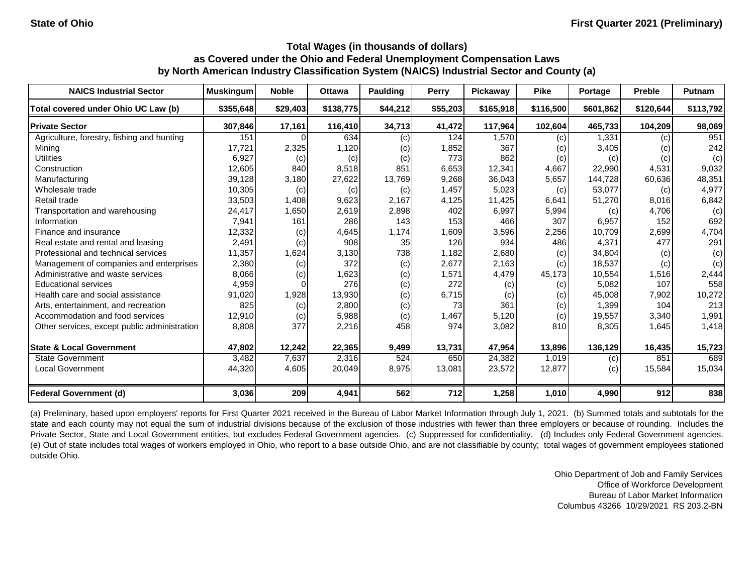| <b>NAICS Industrial Sector</b>               | <b>Muskingum</b> | <b>Noble</b> | <b>Ottawa</b> | <b>Paulding</b> | Perry    | Pickaway  | <b>Pike</b> | Portage   | <b>Preble</b> | <b>Putnam</b> |
|----------------------------------------------|------------------|--------------|---------------|-----------------|----------|-----------|-------------|-----------|---------------|---------------|
| Total covered under Ohio UC Law (b)          | \$355,648        | \$29,403     | \$138,775     | \$44,212        | \$55,203 | \$165,918 | \$116,500   | \$601,862 | \$120,644     | \$113,792     |
| <b>Private Sector</b>                        | 307,846          | 17,161       | 116,410       | 34,713          | 41,472   | 117,964   | 102.604     | 465,733   | 104,209       | 98,069        |
| Agriculture, forestry, fishing and hunting   | 151              |              | 634           | (c)             | 124      | 1.570     | (c)         | 1,331     | (c)           | 951           |
| Mining                                       | 17,721           | 2,325        | 1,120         | (c)             | 1,852    | 367       | (c)         | 3,405     | (c)           | 242           |
| <b>Utilities</b>                             | 6,927            | (c)          | (c)           | (c)             | 773      | 862       | (c)         | (c)       | (c)           | (c)           |
| Construction                                 | 12,605           | 840          | 8,518         | 851             | 6,653    | 12,341    | 4,667       | 22,990    | 4,531         | 9,032         |
| Manufacturing                                | 39,128           | 3,180        | 27,622        | 13,769          | 9,268    | 36,043    | 5,657       | 144,728   | 60,636        | 48,351        |
| Wholesale trade                              | 10,305           | (c)          | (c)           | (c)             | 1,457    | 5,023     | (c)         | 53,077    | (c)           | 4,977         |
| Retail trade                                 | 33,503           | 1,408        | 9,623         | 2,167           | 4,125    | 11,425    | 6,641       | 51,270    | 8,016         | 6,842         |
| Transportation and warehousing               | 24,417           | 1,650        | 2,619         | 2,898           | 402      | 6,997     | 5,994       | (c)       | 4,706         | (c)           |
| Information                                  | 7,941            | 161          | 286           | 143             | 153      | 466       | 307         | 6,957     | 152           | 692           |
| Finance and insurance                        | 12,332           | (c)          | 4,645         | 1,174           | 1,609    | 3,596     | 2,256       | 10,709    | 2,699         | 4,704         |
| Real estate and rental and leasing           | 2,491            | (c)          | 908           | 35              | 126      | 934       | 486         | 4,371     | 477           | 291           |
| Professional and technical services          | 11,357           | 1,624        | 3,130         | 738             | 1.182    | 2,680     | (c)         | 34.804    | (c)           | (c)           |
| Management of companies and enterprises      | 2,380            | (c)          | 372           | (c)             | 2,677    | 2,163     | (c)         | 18,537    | (c)           | (c)           |
| Administrative and waste services            | 8,066            | (c)          | 1,623         | (c)             | 1,571    | 4,479     | 45,173      | 10,554    | 1,516         | 2,444         |
| <b>Educational services</b>                  | 4,959            |              | 276           | (c)             | 272      | (c)       | (c)         | 5,082     | 107           | 558           |
| Health care and social assistance            | 91,020           | 1,928        | 13,930        | (c)             | 6,715    | (c)       | (c)         | 45,008    | 7,902         | 10,272        |
| Arts, entertainment, and recreation          | 825              | (c)          | 2,800         | (c)             | 73       | 361       | (c)         | 1,399     | 104           | 213           |
| Accommodation and food services              | 12,910           | (c)          | 5,988         | (c)             | 1,467    | 5,120     | (c)         | 19,557    | 3,340         | 1,991         |
| Other services, except public administration | 8,808            | 377          | 2,216         | 458             | 974      | 3,082     | 810         | 8,305     | 1,645         | 1,418         |
| <b>State &amp; Local Government</b>          | 47,802           | 12,242       | 22,365        | 9,499           | 13,731   | 47,954    | 13,896      | 136,129   | 16,435        | 15,723        |
| <b>State Government</b>                      | 3,482            | 7,637        | 2,316         | 524             | 650      | 24,382    | 1,019       | (c)       | 851           | 689           |
| <b>Local Government</b>                      | 44,320           | 4,605        | 20,049        | 8,975           | 13,081   | 23,572    | 12,877      | (c)       | 15,584        | 15,034        |
| <b>Federal Government (d)</b>                | 3,036            | 209          | 4,941         | 562             | 712      | 1,258     | 1,010       | 4,990     | 912           | 838           |

(a) Preliminary, based upon employers' reports for First Quarter 2021 received in the Bureau of Labor Market Information through July 1, 2021. (b) Summed totals and subtotals for the state and each county may not equal the sum of industrial divisions because of the exclusion of those industries with fewer than three employers or because of rounding. Includes the Private Sector, State and Local Government entities, but excludes Federal Government agencies. (c) Suppressed for confidentiality. (d) Includes only Federal Government agencies. (e) Out of state includes total wages of workers employed in Ohio, who report to a base outside Ohio, and are not classifiable by county; total wages of government employees stationed outside Ohio.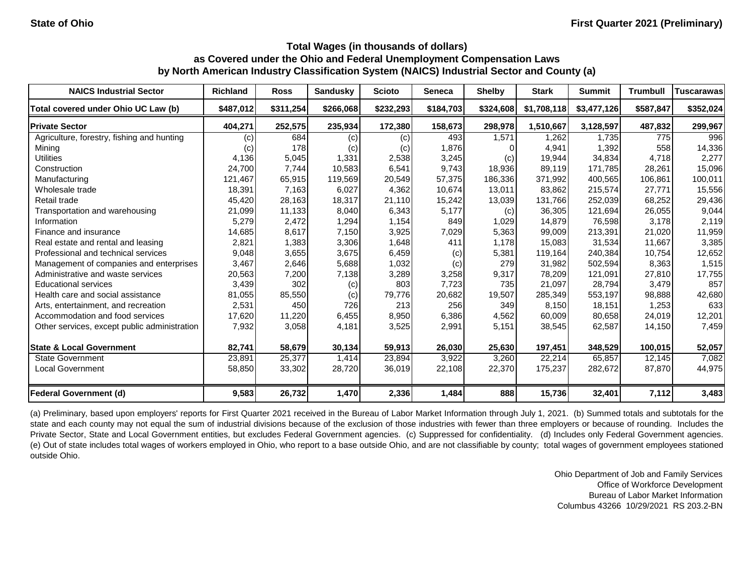| <b>NAICS Industrial Sector</b>               | <b>Richland</b> | <b>Ross</b> | <b>Sandusky</b> | <b>Scioto</b> | <b>Seneca</b> | <b>Shelby</b> | <b>Stark</b> | <b>Summit</b> | <b>Trumbull</b> | <b>Tuscarawas</b> |
|----------------------------------------------|-----------------|-------------|-----------------|---------------|---------------|---------------|--------------|---------------|-----------------|-------------------|
| Total covered under Ohio UC Law (b)          | \$487.012       | \$311,254   | \$266,068       | \$232,293     | \$184,703     | \$324,608     | \$1,708,118  | \$3,477,126   | \$587,847       | \$352,024         |
| <b>Private Sector</b>                        | 404,271         | 252,575     | 235,934         | 172,380       | 158,673       | 298,978       | 1,510,667    | 3,128,597     | 487,832         | 299,967           |
| Agriculture, forestry, fishing and hunting   | (c)             | 684         | (c)             | (c)           | 493           | 1.571         | 1.262        | 1,735         | 775             | 996               |
| Mining                                       | (c)             | 178         | (c)             | (c)           | 1,876         |               | 4,941        | 1,392         | 558             | 14,336            |
| <b>Utilities</b>                             | 4,136           | 5,045       | 1,331           | 2,538         | 3,245         | (c)           | 19,944       | 34.834        | 4.718           | 2,277             |
| Construction                                 | 24,700          | 7,744       | 10,583          | 6,541         | 9,743         | 18,936        | 89,119       | 171,785       | 28,261          | 15,096            |
| Manufacturing                                | 121,467         | 65,915      | 119,569         | 20,549        | 57,375        | 186,336       | 371,992      | 400,565       | 106,861         | 100,011           |
| Wholesale trade                              | 18,391          | 7,163       | 6,027           | 4,362         | 10,674        | 13,011        | 83,862       | 215,574       | 27,771          | 15,556            |
| Retail trade                                 | 45,420          | 28,163      | 18,317          | 21,110        | 15,242        | 13,039        | 131,766      | 252,039       | 68,252          | 29,436            |
| Transportation and warehousing               | 21,099          | 11,133      | 8,040           | 6,343         | 5,177         | (c)           | 36,305       | 121,694       | 26,055          | 9,044             |
| Information                                  | 5,279           | 2,472       | 1,294           | 1,154         | 849           | 1,029         | 14,879       | 76,598        | 3,178           | 2,119             |
| Finance and insurance                        | 14,685          | 8,617       | 7,150           | 3,925         | 7,029         | 5,363         | 99,009       | 213,391       | 21,020          | 11,959            |
| Real estate and rental and leasing           | 2,821           | 1,383       | 3,306           | 1,648         | 411           | 1,178         | 15,083       | 31,534        | 11,667          | 3,385             |
| Professional and technical services          | 9,048           | 3,655       | 3,675           | 6,459         | (c)           | 5,381         | 119,164      | 240,384       | 10,754          | 12,652            |
| Management of companies and enterprises      | 3,467           | 2,646       | 5,688           | 1,032         | (c)           | 279           | 31,982       | 502,594       | 8,363           | 1,515             |
| Administrative and waste services            | 20,563          | 7,200       | 7,138           | 3,289         | 3,258         | 9,317         | 78,209       | 121,091       | 27,810          | 17,755            |
| <b>Educational services</b>                  | 3,439           | 302         | (c)             | 803           | 7,723         | 735           | 21,097       | 28,794        | 3,479           | 857               |
| Health care and social assistance            | 81,055          | 85,550      | (c)             | 79,776        | 20,682        | 19,507        | 285,349      | 553,197       | 98,888          | 42,680            |
| Arts, entertainment, and recreation          | 2,531           | 450         | 726             | 213           | 256           | 349           | 8,150        | 18.151        | 1,253           | 633               |
| Accommodation and food services              | 17,620          | 11,220      | 6,455           | 8,950         | 6,386         | 4,562         | 60,009       | 80,658        | 24,019          | 12,201            |
| Other services, except public administration | 7,932           | 3,058       | 4,181           | 3,525         | 2,991         | 5,151         | 38,545       | 62,587        | 14,150          | 7,459             |
| <b>State &amp; Local Government</b>          | 82,741          | 58,679      | 30,134          | 59,913        | 26,030        | 25,630        | 197,451      | 348,529       | 100,015         | 52,057            |
| <b>State Government</b>                      | 23,891          | 25,377      | 1,414           | 23,894        | 3,922         | 3,260         | 22,214       | 65.857        | 12,145          | 7,082             |
| <b>Local Government</b>                      | 58,850          | 33,302      | 28,720          | 36,019        | 22,108        | 22,370        | 175,237      | 282,672       | 87,870          | 44,975            |
| <b>Federal Government (d)</b>                | 9,583           | 26,732      | 1,470           | 2,336         | 1,484         | 888           | 15,736       | 32,401        | 7,112           | 3,483             |

(a) Preliminary, based upon employers' reports for First Quarter 2021 received in the Bureau of Labor Market Information through July 1, 2021. (b) Summed totals and subtotals for the state and each county may not equal the sum of industrial divisions because of the exclusion of those industries with fewer than three employers or because of rounding. Includes the Private Sector, State and Local Government entities, but excludes Federal Government agencies. (c) Suppressed for confidentiality. (d) Includes only Federal Government agencies. (e) Out of state includes total wages of workers employed in Ohio, who report to a base outside Ohio, and are not classifiable by county; total wages of government employees stationed outside Ohio.